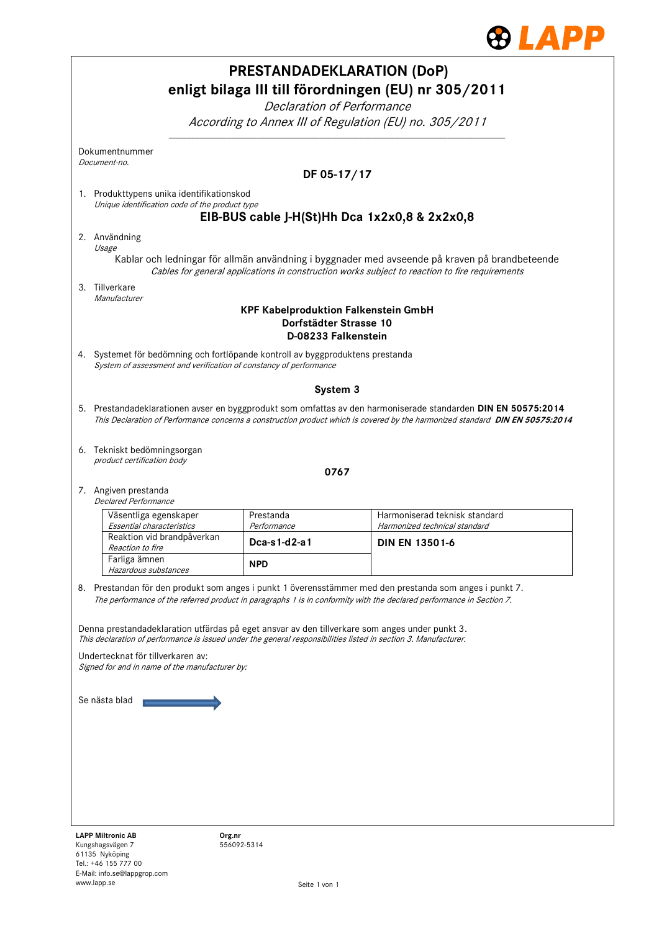

| <b>PRESTANDADEKLARATION (DoP)</b><br>enligt bilaga III till förordningen (EU) nr 305/2011                                                                                                                                                      |                                                                                                                                                                                                                                 |                                                                |  |  |                            |
|------------------------------------------------------------------------------------------------------------------------------------------------------------------------------------------------------------------------------------------------|---------------------------------------------------------------------------------------------------------------------------------------------------------------------------------------------------------------------------------|----------------------------------------------------------------|--|--|----------------------------|
|                                                                                                                                                                                                                                                |                                                                                                                                                                                                                                 |                                                                |  |  | Declaration of Performance |
| According to Annex III of Regulation (EU) no. 305/2011                                                                                                                                                                                         |                                                                                                                                                                                                                                 |                                                                |  |  |                            |
| Dokumentnummer                                                                                                                                                                                                                                 |                                                                                                                                                                                                                                 |                                                                |  |  |                            |
| Document-no.                                                                                                                                                                                                                                   | DF 05-17/17                                                                                                                                                                                                                     |                                                                |  |  |                            |
| 1. Produkttypens unika identifikationskod                                                                                                                                                                                                      |                                                                                                                                                                                                                                 |                                                                |  |  |                            |
| Unique identification code of the product type<br>EIB-BUS cable J-H(St)Hh Dca 1x2x0,8 & 2x2x0,8                                                                                                                                                |                                                                                                                                                                                                                                 |                                                                |  |  |                            |
| 2. Användning                                                                                                                                                                                                                                  |                                                                                                                                                                                                                                 |                                                                |  |  |                            |
| Usage<br>Kablar och ledningar för allmän användning i byggnader med avseende på kraven på brandbeteende                                                                                                                                        |                                                                                                                                                                                                                                 |                                                                |  |  |                            |
| Cables for general applications in construction works subject to reaction to fire requirements                                                                                                                                                 |                                                                                                                                                                                                                                 |                                                                |  |  |                            |
| 3. Tillverkare<br>Manufacturer                                                                                                                                                                                                                 |                                                                                                                                                                                                                                 |                                                                |  |  |                            |
| <b>KPF Kabelproduktion Falkenstein GmbH</b><br>Dorfstädter Strasse 10<br>D-08233 Falkenstein                                                                                                                                                   |                                                                                                                                                                                                                                 |                                                                |  |  |                            |
| 4. Systemet för bedömning och fortlöpande kontroll av byggproduktens prestanda<br>System of assessment and verification of constancy of performance                                                                                            |                                                                                                                                                                                                                                 |                                                                |  |  |                            |
| System 3                                                                                                                                                                                                                                       |                                                                                                                                                                                                                                 |                                                                |  |  |                            |
| 5. Prestandadeklarationen avser en byggprodukt som omfattas av den harmoniserade standarden DIN EN 50575:2014<br>This Declaration of Performance concerns a construction product which is covered by the harmonized standard DIN EN 50575:2014 |                                                                                                                                                                                                                                 |                                                                |  |  |                            |
| 6. Tekniskt bedömningsorgan<br>product certification body                                                                                                                                                                                      |                                                                                                                                                                                                                                 |                                                                |  |  |                            |
|                                                                                                                                                                                                                                                | 0767                                                                                                                                                                                                                            |                                                                |  |  |                            |
| 7. Angiven prestanda<br><b>Declared Performance</b>                                                                                                                                                                                            |                                                                                                                                                                                                                                 |                                                                |  |  |                            |
| Väsentliga egenskaper<br>Essential characteristics                                                                                                                                                                                             | Prestanda<br>Performance                                                                                                                                                                                                        | Harmoniserad teknisk standard<br>Harmonized technical standard |  |  |                            |
| Reaktion vid brandpåverkan<br>Reaction to fire                                                                                                                                                                                                 | Dca-s1-d2-a1                                                                                                                                                                                                                    | <b>DIN EN 13501-6</b>                                          |  |  |                            |
| Farliga ämnen<br>Hazardous substances                                                                                                                                                                                                          | <b>NPD</b>                                                                                                                                                                                                                      |                                                                |  |  |                            |
|                                                                                                                                                                                                                                                | 8. Prestandan för den produkt som anges i punkt 1 överensstämmer med den prestanda som anges i punkt 7.<br>The performance of the referred product in paragraphs 1 is in conformity with the declared performance in Section 7. |                                                                |  |  |                            |
| Denna prestandadeklaration utfärdas på eget ansvar av den tillverkare som anges under punkt 3.<br>This declaration of performance is issued under the general responsibilities listed in section 3. Manufacturer.                              |                                                                                                                                                                                                                                 |                                                                |  |  |                            |
| Undertecknat för tillverkaren av:                                                                                                                                                                                                              |                                                                                                                                                                                                                                 |                                                                |  |  |                            |
| Signed for and in name of the manufacturer by:                                                                                                                                                                                                 |                                                                                                                                                                                                                                 |                                                                |  |  |                            |
| Se nästa blad                                                                                                                                                                                                                                  |                                                                                                                                                                                                                                 |                                                                |  |  |                            |
|                                                                                                                                                                                                                                                |                                                                                                                                                                                                                                 |                                                                |  |  |                            |
|                                                                                                                                                                                                                                                |                                                                                                                                                                                                                                 |                                                                |  |  |                            |
|                                                                                                                                                                                                                                                |                                                                                                                                                                                                                                 |                                                                |  |  |                            |
|                                                                                                                                                                                                                                                |                                                                                                                                                                                                                                 |                                                                |  |  |                            |
|                                                                                                                                                                                                                                                |                                                                                                                                                                                                                                 |                                                                |  |  |                            |
| <b>LAPP Miltronic AB</b><br>Org.nr<br>Kungshagsvägen 7                                                                                                                                                                                         | 556092-5314                                                                                                                                                                                                                     |                                                                |  |  |                            |